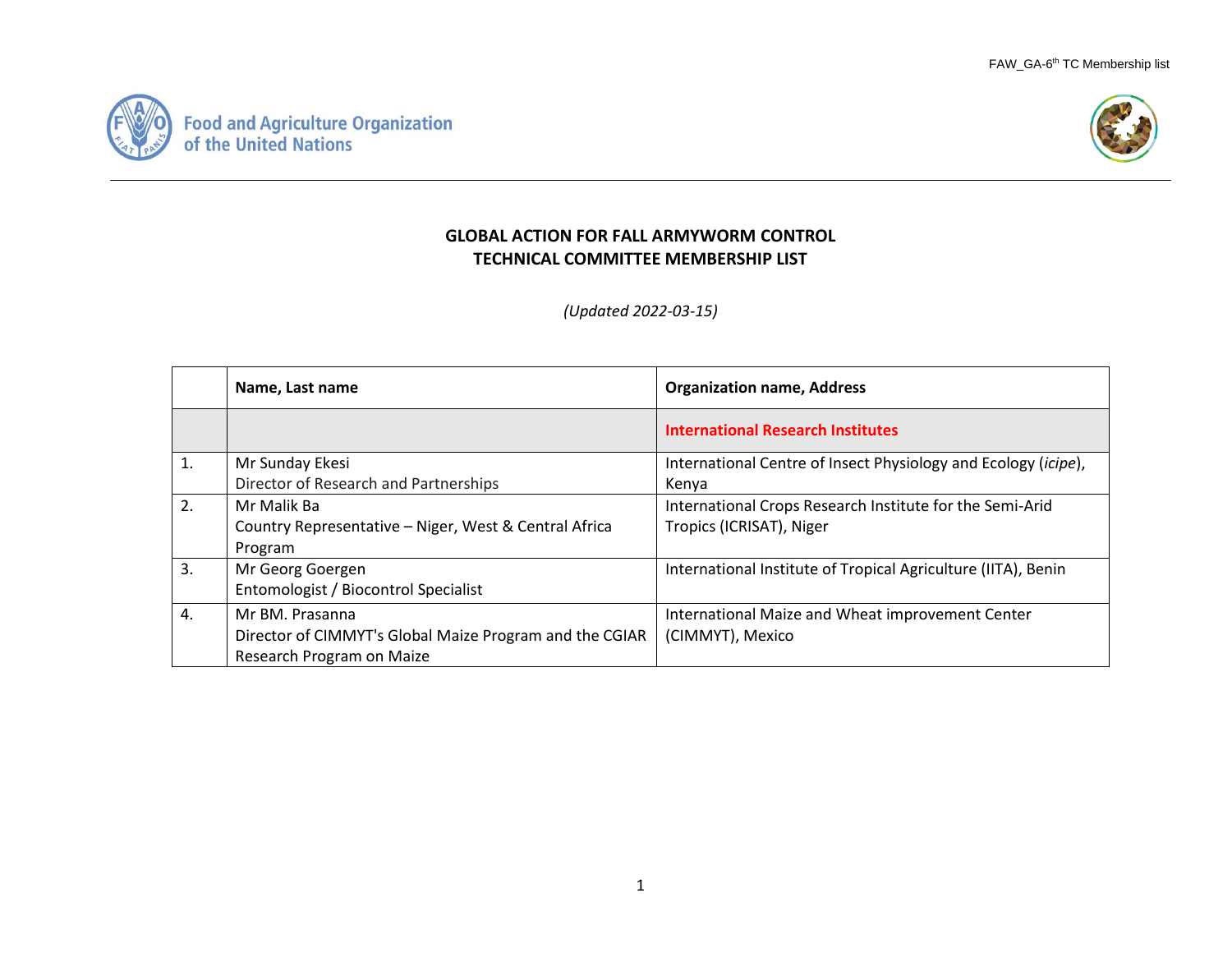



## **GLOBAL ACTION FOR FALL ARMYWORM CONTROL TECHNICAL COMMITTEE MEMBERSHIP LIST**

*(Updated 2022-03-15)*

|                | Name, Last name                                         | <b>Organization name, Address</b>                              |
|----------------|---------------------------------------------------------|----------------------------------------------------------------|
|                |                                                         | <b>International Research Institutes</b>                       |
| $\mathbf{1}$ . | Mr Sunday Ekesi                                         | International Centre of Insect Physiology and Ecology (icipe), |
|                | Director of Research and Partnerships                   | Kenya                                                          |
| 2.             | Mr Malik Ba                                             | International Crops Research Institute for the Semi-Arid       |
|                | Country Representative - Niger, West & Central Africa   | Tropics (ICRISAT), Niger                                       |
|                | Program                                                 |                                                                |
| 3.             | Mr Georg Goergen                                        | International Institute of Tropical Agriculture (IITA), Benin  |
|                | Entomologist / Biocontrol Specialist                    |                                                                |
| 4.             | Mr BM. Prasanna                                         | International Maize and Wheat improvement Center               |
|                | Director of CIMMYT's Global Maize Program and the CGIAR | (CIMMYT), Mexico                                               |
|                | Research Program on Maize                               |                                                                |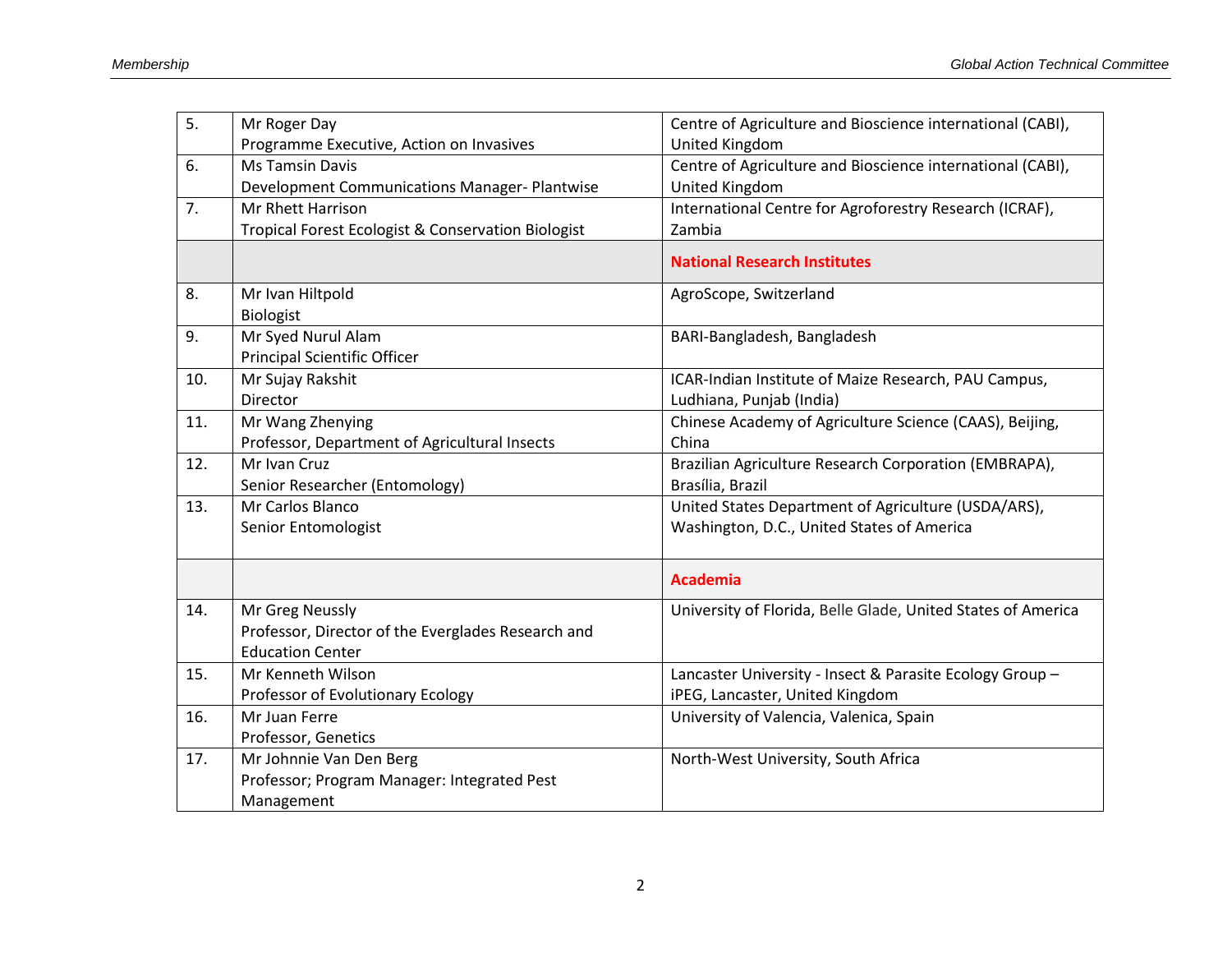| 5.  | Mr Roger Day                                         | Centre of Agriculture and Bioscience international (CABI),   |
|-----|------------------------------------------------------|--------------------------------------------------------------|
|     | Programme Executive, Action on Invasives             | United Kingdom                                               |
| 6.  | <b>Ms Tamsin Davis</b>                               | Centre of Agriculture and Bioscience international (CABI),   |
|     | <b>Development Communications Manager- Plantwise</b> | United Kingdom                                               |
| 7.  | <b>Mr Rhett Harrison</b>                             | International Centre for Agroforestry Research (ICRAF),      |
|     | Tropical Forest Ecologist & Conservation Biologist   | Zambia                                                       |
|     |                                                      | <b>National Research Institutes</b>                          |
| 8.  | Mr Ivan Hiltpold                                     | AgroScope, Switzerland                                       |
|     | <b>Biologist</b>                                     |                                                              |
| 9.  | Mr Syed Nurul Alam                                   | BARI-Bangladesh, Bangladesh                                  |
|     | <b>Principal Scientific Officer</b>                  |                                                              |
| 10. | Mr Sujay Rakshit                                     | ICAR-Indian Institute of Maize Research, PAU Campus,         |
|     | Director                                             | Ludhiana, Punjab (India)                                     |
| 11. | Mr Wang Zhenying                                     | Chinese Academy of Agriculture Science (CAAS), Beijing,      |
|     | Professor, Department of Agricultural Insects        | China                                                        |
| 12. | Mr Ivan Cruz                                         | Brazilian Agriculture Research Corporation (EMBRAPA),        |
|     | Senior Researcher (Entomology)                       | Brasília, Brazil                                             |
| 13. | Mr Carlos Blanco                                     | United States Department of Agriculture (USDA/ARS),          |
|     | Senior Entomologist                                  | Washington, D.C., United States of America                   |
|     |                                                      | <b>Academia</b>                                              |
| 14. | Mr Greg Neussly                                      | University of Florida, Belle Glade, United States of America |
|     | Professor, Director of the Everglades Research and   |                                                              |
|     | <b>Education Center</b>                              |                                                              |
| 15. | Mr Kenneth Wilson                                    | Lancaster University - Insect & Parasite Ecology Group -     |
|     | Professor of Evolutionary Ecology                    | iPEG, Lancaster, United Kingdom                              |
| 16. | Mr Juan Ferre                                        | University of Valencia, Valenica, Spain                      |
|     | Professor, Genetics                                  |                                                              |
| 17. | Mr Johnnie Van Den Berg                              | North-West University, South Africa                          |
|     | Professor; Program Manager: Integrated Pest          |                                                              |
|     | Management                                           |                                                              |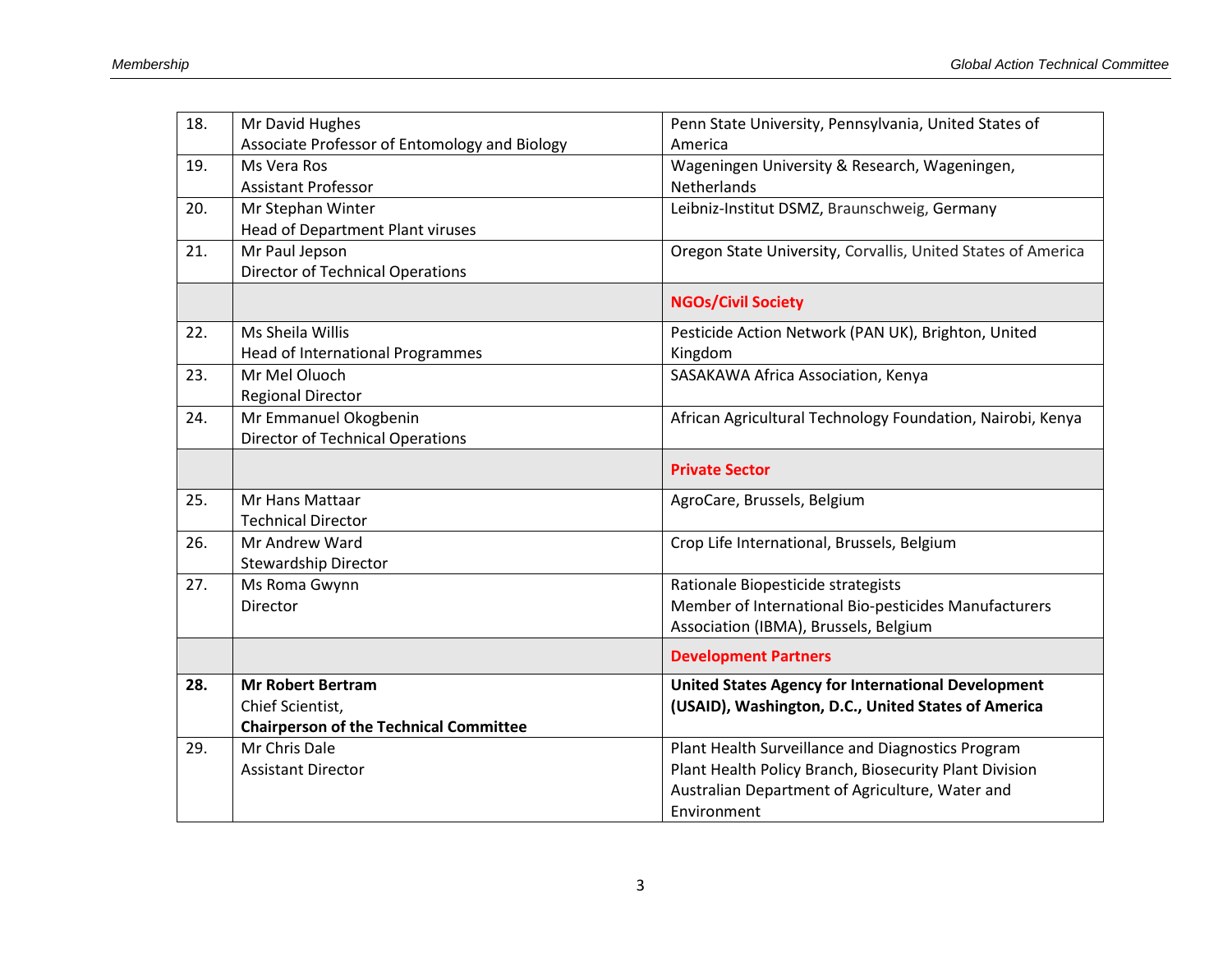| 18. | Mr David Hughes                               | Penn State University, Pennsylvania, United States of        |
|-----|-----------------------------------------------|--------------------------------------------------------------|
|     | Associate Professor of Entomology and Biology | America                                                      |
| 19. | Ms Vera Ros                                   | Wageningen University & Research, Wageningen,                |
|     | <b>Assistant Professor</b>                    | <b>Netherlands</b>                                           |
| 20. | Mr Stephan Winter                             | Leibniz-Institut DSMZ, Braunschweig, Germany                 |
|     | Head of Department Plant viruses              |                                                              |
| 21. | Mr Paul Jepson                                | Oregon State University, Corvallis, United States of America |
|     | <b>Director of Technical Operations</b>       |                                                              |
|     |                                               | <b>NGOs/Civil Society</b>                                    |
| 22. | Ms Sheila Willis                              | Pesticide Action Network (PAN UK), Brighton, United          |
|     | <b>Head of International Programmes</b>       | Kingdom                                                      |
| 23. | Mr Mel Oluoch                                 | SASAKAWA Africa Association, Kenya                           |
|     | <b>Regional Director</b>                      |                                                              |
| 24. | Mr Emmanuel Okogbenin                         | African Agricultural Technology Foundation, Nairobi, Kenya   |
|     | <b>Director of Technical Operations</b>       |                                                              |
|     |                                               | <b>Private Sector</b>                                        |
| 25. | Mr Hans Mattaar                               | AgroCare, Brussels, Belgium                                  |
|     | <b>Technical Director</b>                     |                                                              |
| 26. | Mr Andrew Ward                                | Crop Life International, Brussels, Belgium                   |
|     | <b>Stewardship Director</b>                   |                                                              |
| 27. | Ms Roma Gwynn                                 | Rationale Biopesticide strategists                           |
|     | Director                                      | Member of International Bio-pesticides Manufacturers         |
|     |                                               | Association (IBMA), Brussels, Belgium                        |
|     |                                               | <b>Development Partners</b>                                  |
| 28. | <b>Mr Robert Bertram</b>                      | <b>United States Agency for International Development</b>    |
|     | Chief Scientist,                              | (USAID), Washington, D.C., United States of America          |
|     | <b>Chairperson of the Technical Committee</b> |                                                              |
| 29. | Mr Chris Dale                                 | Plant Health Surveillance and Diagnostics Program            |
|     | <b>Assistant Director</b>                     | Plant Health Policy Branch, Biosecurity Plant Division       |
|     |                                               | Australian Department of Agriculture, Water and              |
|     |                                               | Environment                                                  |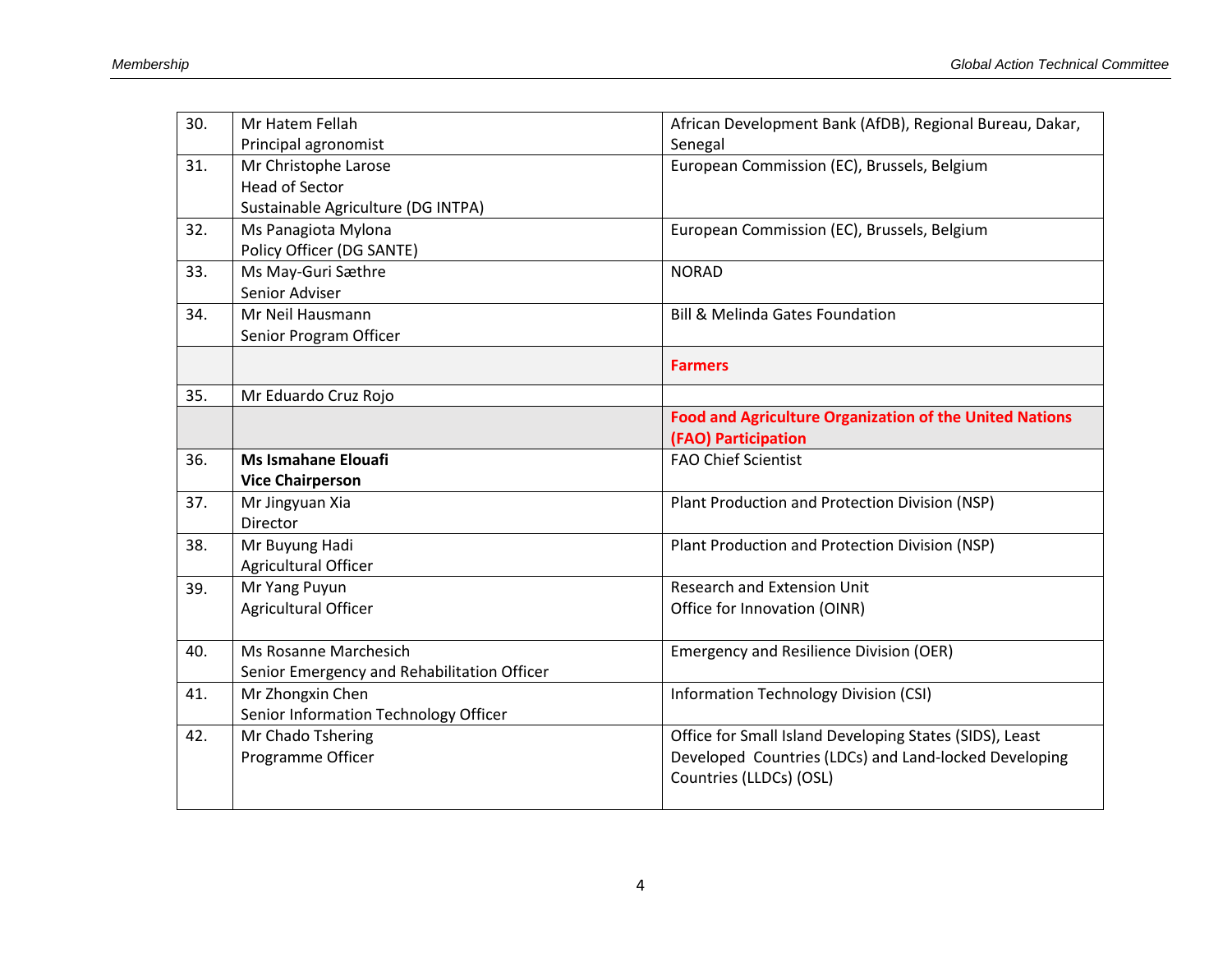| 30. | Mr Hatem Fellah                             | African Development Bank (AfDB), Regional Bureau, Dakar,       |
|-----|---------------------------------------------|----------------------------------------------------------------|
|     | Principal agronomist                        | Senegal                                                        |
| 31. | Mr Christophe Larose                        | European Commission (EC), Brussels, Belgium                    |
|     | <b>Head of Sector</b>                       |                                                                |
|     | Sustainable Agriculture (DG INTPA)          |                                                                |
| 32. | Ms Panagiota Mylona                         | European Commission (EC), Brussels, Belgium                    |
|     | Policy Officer (DG SANTE)                   |                                                                |
| 33. | Ms May-Guri Sæthre                          | <b>NORAD</b>                                                   |
|     | Senior Adviser                              |                                                                |
| 34. | Mr Neil Hausmann                            | <b>Bill &amp; Melinda Gates Foundation</b>                     |
|     | Senior Program Officer                      |                                                                |
|     |                                             | <b>Farmers</b>                                                 |
| 35. | Mr Eduardo Cruz Rojo                        |                                                                |
|     |                                             | <b>Food and Agriculture Organization of the United Nations</b> |
|     |                                             | (FAO) Participation                                            |
| 36. | <b>Ms Ismahane Elouafi</b>                  | <b>FAO Chief Scientist</b>                                     |
|     | <b>Vice Chairperson</b>                     |                                                                |
| 37. | Mr Jingyuan Xia                             | Plant Production and Protection Division (NSP)                 |
|     | Director                                    |                                                                |
| 38. | Mr Buyung Hadi                              | Plant Production and Protection Division (NSP)                 |
|     | Agricultural Officer                        |                                                                |
| 39. | Mr Yang Puyun                               | <b>Research and Extension Unit</b>                             |
|     | Agricultural Officer                        | Office for Innovation (OINR)                                   |
|     |                                             |                                                                |
| 40. | Ms Rosanne Marchesich                       | <b>Emergency and Resilience Division (OER)</b>                 |
|     | Senior Emergency and Rehabilitation Officer |                                                                |
| 41. | Mr Zhongxin Chen                            | <b>Information Technology Division (CSI)</b>                   |
|     | Senior Information Technology Officer       |                                                                |
| 42. | Mr Chado Tshering                           | Office for Small Island Developing States (SIDS), Least        |
|     | Programme Officer                           | Developed Countries (LDCs) and Land-locked Developing          |
|     |                                             | Countries (LLDCs) (OSL)                                        |
|     |                                             |                                                                |